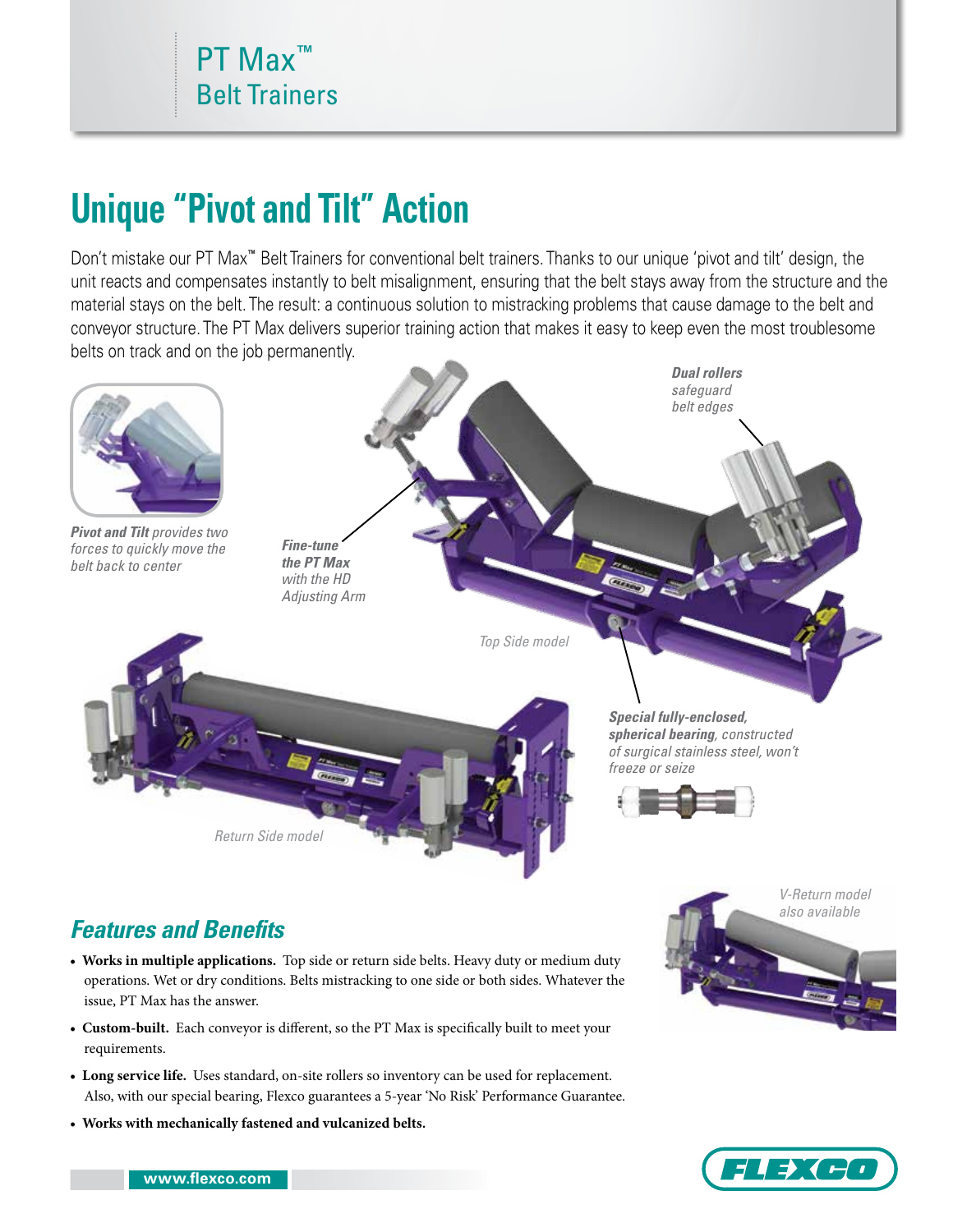## **Unique "Pivot and Tilt" Action**

Don't mistake our PT Max**™** Belt Trainers for conventional belt trainers. Thanks to our unique 'pivot and tilt' design, the unit reacts and compensates instantly to belt misalignment, ensuring that the belt stays away from the structure and the material stays on the belt. The result: a continuous solution to mistracking problems that cause damage to the belt and conveyor structure. The PT Max delivers superior training action that makes it easy to keep even the most troublesome belts on track and on the job permanently.



## *Features and Benefits*

- **Works in multiple applications.** Top side or return side belts. Heavy duty or medium duty operations. Wet or dry conditions. Belts mistracking to one side or both sides. Whatever the issue, PT Max has the answer.
- **Custom-built.** Each conveyor is different, so the PT Max is specifically built to meet your requirements.
- **Long service life.** Uses standard, on-site rollers so inventory can be used for replacement. Also, with our special bearing, Flexco guarantees a 5-year 'No Risk' Performance Guarantee.
- **Works with mechanically fastened and vulcanized belts.**